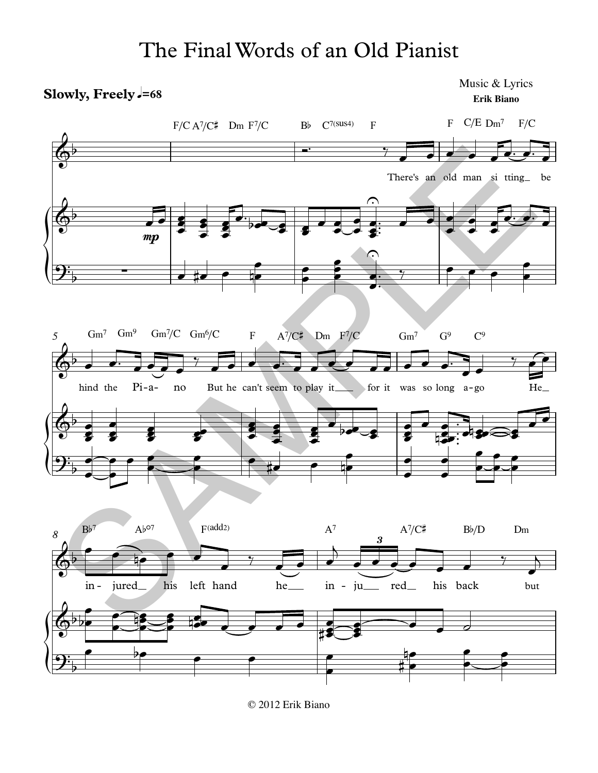## The Final Words of an Old Pianist

## Slowly, Freely =68

Music & Lyrics Erik Biano



<sup>© 2012</sup> Erik Biano